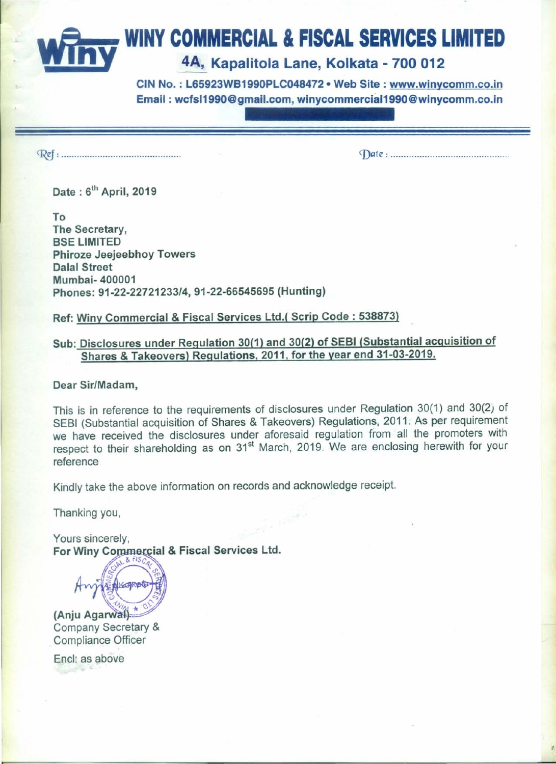# WINY COMMERCIAL & FISCAL SERVICES LIMITED 4A, Kapalitola Lane, Kolkata - 700 012

CIN No. : L65923WB1990PLC048472· Web Site: www.winycomm.co.in Email: wcfsI1990@gmail.com.winycommerciaI1990@winycomm.co.in

~: . *<J)ate : .*

Date: 6<sup>th</sup> April, 2019

To The Secretary, **BSE LIMITED** Phiroze Jeejeebhoy Towers Dalal Street Mumbai- 400001 Phones: *91-22-22721233/4,* 91-22-66545695 (Hunting)

Ref: Winy Commercial & Fiscal Services Ltd.( Scrip Code: 538873)

# Sub: Disclosures under Regulation 30(1) and 30(2) of SESI (Substantial acquisition of Shares & Takeovers) Regulations. 2011. for the year end 31-03-2019.

Dear Sir/Madam,

This is in reference to the requirements of disclosures under Regulation 30(1) and 30(2) of SEBI (Substantial acquisition of Shares & Takeovers) Regulations, 2011. As per requirement we have received the disclosures under aforesaid regulation from all the promoters with respect to their shareholding as on 31<sup>st</sup> March, 2019. We are enclosing herewith for your reference

Kindly take the above information on records and acknowledge receipt.

Thanking you,

Yours sincerely, For Winy Commercial & Fiscal Services Ltd.

ENKOPPE

 $(Aniu Agarwall)$ Company Secretary & Compliance Officer

Encl: as above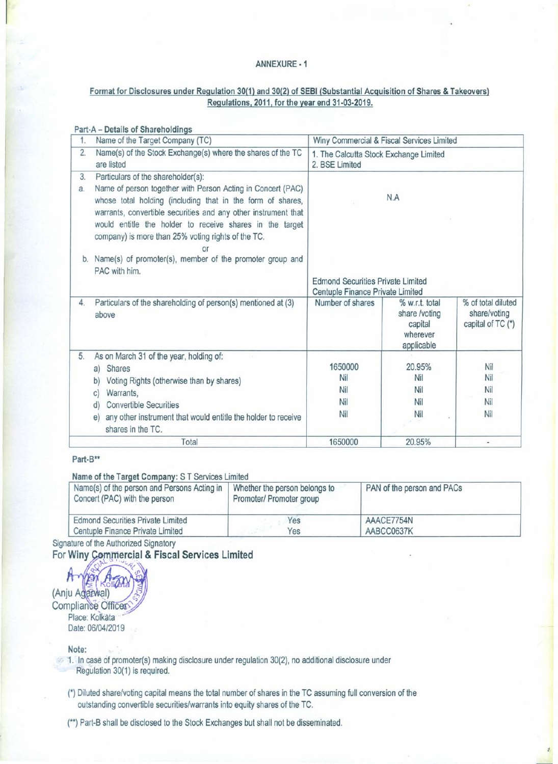#### ANNEXURE· 1

## Format for Disclosures under Regulation 30(1) and 30(2) of SEBI (Substantial Acquisition of Shares & Takeovers) Regulations, 2011, for the year end 31·03·2019,

| 1. | Name of the Target Company (TC)                                                                                                                                                                                                                                                                                     | Winy Commercial & Fiscal Services Limited<br>1. The Calcutta Stock Exchange Limited<br>2. BSE Limited |                                                                      |                                                         |
|----|---------------------------------------------------------------------------------------------------------------------------------------------------------------------------------------------------------------------------------------------------------------------------------------------------------------------|-------------------------------------------------------------------------------------------------------|----------------------------------------------------------------------|---------------------------------------------------------|
| 2. | Name(s) of the Stock Exchange(s) where the shares of the TC<br>are listed                                                                                                                                                                                                                                           |                                                                                                       |                                                                      |                                                         |
| 3. | Particulars of the shareholder(s):                                                                                                                                                                                                                                                                                  |                                                                                                       |                                                                      |                                                         |
| a. | Name of person together with Person Acting in Concert (PAC)<br>whose total holding (including that in the form of shares,<br>warrants, convertible securities and any other instrument that<br>would entitle the holder to receive shares in the target<br>company) is more than 25% voting rights of the TC.<br>o٢ | N.A                                                                                                   |                                                                      |                                                         |
|    | b. Name(s) of promoter(s), member of the promoter group and<br>PAC with him.                                                                                                                                                                                                                                        |                                                                                                       |                                                                      |                                                         |
|    |                                                                                                                                                                                                                                                                                                                     | <b>Edmond Securities Private Limited</b><br>Centuple Finance Private Limited                          |                                                                      |                                                         |
| 4. | Particulars of the shareholding of person(s) mentioned at (3)<br>above                                                                                                                                                                                                                                              | Number of shares                                                                                      | % w.r.t. total<br>share /voting<br>capital<br>wherever<br>applicable | % of total diluted<br>share/voting<br>capital of TC (*) |
| 5. | As on March 31 of the year, holding of:                                                                                                                                                                                                                                                                             |                                                                                                       |                                                                      |                                                         |
|    | <b>Shares</b><br>a)                                                                                                                                                                                                                                                                                                 | 1650000                                                                                               | 20.95%                                                               | Nil                                                     |
|    | Voting Rights (otherwise than by shares)<br>b)                                                                                                                                                                                                                                                                      | Nil                                                                                                   | Nil                                                                  | <b>Nil</b>                                              |
|    | Warrants,<br>C)                                                                                                                                                                                                                                                                                                     | Nil                                                                                                   | Nil                                                                  | Nil                                                     |
|    | <b>Convertible Securities</b><br>(d)                                                                                                                                                                                                                                                                                | Nil                                                                                                   | Nil                                                                  | Nil                                                     |
|    | any other instrument that would entitle the holder to receive<br>e)<br>shares in the TC.                                                                                                                                                                                                                            | Nil                                                                                                   | Nil                                                                  | Nil                                                     |
|    | Total                                                                                                                                                                                                                                                                                                               | 1650000                                                                                               | 20.95%                                                               |                                                         |

### Part-B\*\*

Name of the Target Company: S T Services Limited

| Name(s) of the person and Persons Acting in<br>Concert (PAC) with the person | Whether the person belongs to<br>Promoter/ Promoter group | PAN of the person and PACs |  |
|------------------------------------------------------------------------------|-----------------------------------------------------------|----------------------------|--|
| <b>Edmond Securities Private Limited</b>                                     | Yes                                                       | AAACE7754N                 |  |
| Centuple Finance Private Limited                                             | Yes                                                       | AABCC0637K                 |  |

Signature of the Authorized Signatory

For Winy Commercial & Fiscal Services Limited

 $\sim$   $\sim$  $+$  $\sqrt{h}$ (Anju Agarwal) Compliance Officers Place: Kolkata Date: 06/04/2019

#### Note:

- 1. In case of promoter(s) making disclosure under regulation 30(2), no additional disclosure under Regulation 30(1) is required.
	- (\*) Diluted share/voting capital means the total number of shares in the TC assuming full conversion of the outstanding convertible securities/warrants into equity shares of the TC.

(\*\*) Part-S shall be disclosed to the Stock Exchanges but shall not be disseminated.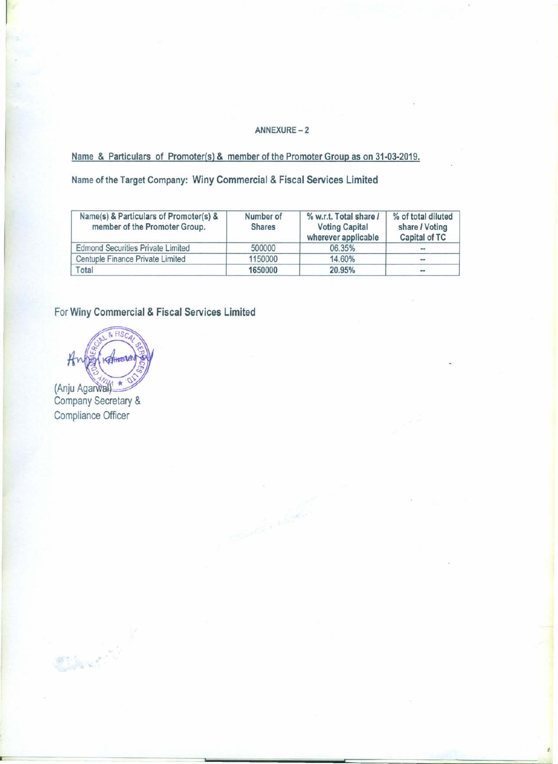## ANNEXURE-2

# Name & Particulars of Promoter(s) & member of the Promoter Group as on 31·03·2019.

Name of the Target Company: Winy Commercial & Fiscal Services Limited

| Name(s) & Particulars of Promoter(s) &<br>member of the Promoter Group. | Number of<br><b>Shares</b> | % w.r.t. Total share /<br><b>Voting Capital</b><br>wherever applicable | % of total diluted<br>share / Voting<br>Capital of TC |
|-------------------------------------------------------------------------|----------------------------|------------------------------------------------------------------------|-------------------------------------------------------|
| <b>Edmond Securities Private Limited</b>                                | 500000                     | 06.35%                                                                 | $-$                                                   |
| Centuple Finance Private Limited                                        | 1150000                    | 14.60%                                                                 | $\cdots$                                              |
| Total                                                                   | 1650000                    | 20.95%                                                                 | $\cdots$                                              |

**Hollands** Land

For Winy Commercial & Fiscal Services Limited

 $8$  FISC  $H<sub>1</sub>$ Kelhala (Anju Agarwal)

Company Secretary & Compliance Officer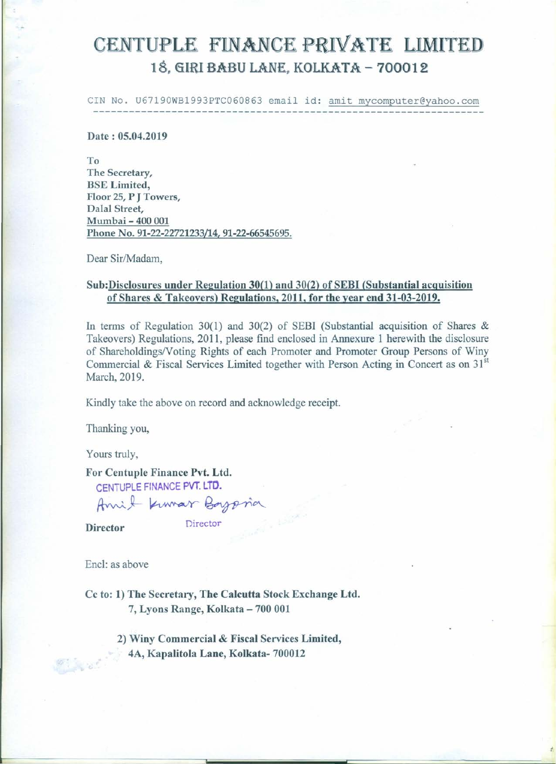# CENTUPLE FINANCE PRIVATE LIMITED 18, GIRI BABU LANE, KOLKATA - 700012

CIN No. U67190WB1993PTC060863 email id:amitmycomputer@yahoo.com

Date: 05.04.2019

To The Secretary, BSE Limited, Floor 25, P J Towers, Dalal Street, Mumbai - 400 001 Phone No. 91-22-22721233/14, 91-22-66545695.

Dear Sir/Madam,

## Sub:Disclosures under Regulation 30(1) and 30(2) of SEBI (Substantial acquisition of Shares & Takeovers) Regulations, 2011, for the year end 31-03-2019.

In terms of Regulation 30(1) and 30(2) of SEBI (Substantial acquisition of Shares  $\&$ Takeovers) Regulations, 2011, please find enclosed in Annexure 1 herewith the disclosure of Shareholdings/Voting Rights of each Promoter and Promoter Group Persons of Winy Commercial & Fiscal Services Limited together with Person Acting in Concert as on 31<sup>st</sup> March, 2019.

Kindly take the above on record and acknowledge receipt.

Thanking you,

Yours truly,

For Centuple Finance Pvt. Ltd.

CENTUPLE FINANCE PVT. LTD.

Amit Kumar Boypria

Director Director

Encl: as above

Cc to: 1) The Secretary, The Calcutta Stock Exchange Ltd. 7, Lyons Range, Kolkata - 700 001

> 2) Winy Commercial & Fiscal Services Limited, 4A, Kapalitola Lane, Kolkata- 700012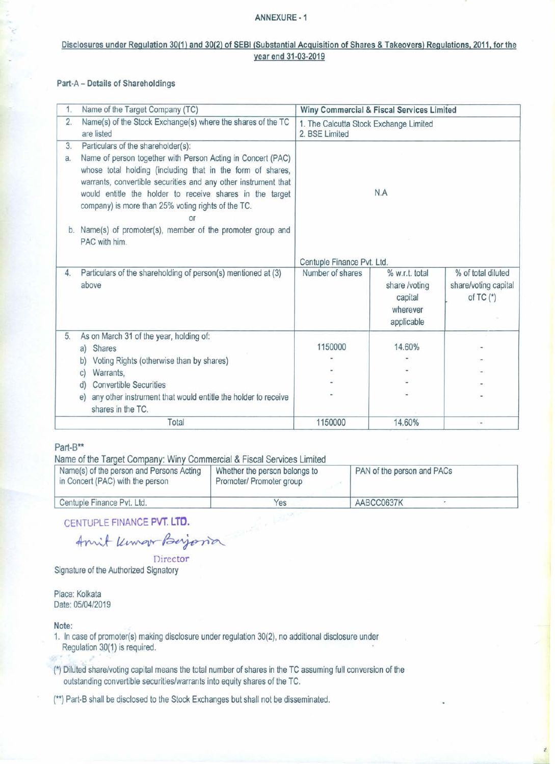#### ANNEXURE ·1

### Disclosures under Regulation 30(1) and 30(2) of SEBI (Substantial Acquisition of Shares & Takeovers) Regulations, 2011, for the year end 31·03·2019

#### Part-A - Details of Shareholdings

| 1.       | Name of the Target Company (TC)                                                                                                                                                                                                                                                                                                                           |                                                          | Winy Commercial & Fiscal Services Limited                            |                                                             |
|----------|-----------------------------------------------------------------------------------------------------------------------------------------------------------------------------------------------------------------------------------------------------------------------------------------------------------------------------------------------------------|----------------------------------------------------------|----------------------------------------------------------------------|-------------------------------------------------------------|
| 2.       | Name(s) of the Stock Exchange(s) where the shares of the TC<br>are listed                                                                                                                                                                                                                                                                                 | 1. The Calcutta Stock Exchange Limited<br>2. BSE Limited |                                                                      |                                                             |
| 3.<br>a. | Particulars of the shareholder(s):<br>Name of person together with Person Acting in Concert (PAC)<br>whose total holding (including that in the form of shares,<br>warrants, convertible securities and any other instrument that<br>would entitle the holder to receive shares in the target<br>company) is more than 25% voting rights of the TC.<br>or | N.A                                                      |                                                                      |                                                             |
|          | b. Name(s) of promoter(s), member of the promoter group and<br>PAC with him.                                                                                                                                                                                                                                                                              |                                                          |                                                                      |                                                             |
|          |                                                                                                                                                                                                                                                                                                                                                           | Centuple Finance Pvt. Ltd.                               |                                                                      |                                                             |
| 4.       | Particulars of the shareholding of person(s) mentioned at (3)<br>above                                                                                                                                                                                                                                                                                    | Number of shares                                         | % w.r.t. total<br>share /voting<br>capital<br>wherever<br>applicable | % of total diluted<br>share/voting capital<br>of $TC$ $(*)$ |
| 5.       | As on March 31 of the year, holding of:                                                                                                                                                                                                                                                                                                                   |                                                          |                                                                      |                                                             |
|          | <b>Shares</b><br>a)<br>Voting Rights (otherwise than by shares)<br>b)                                                                                                                                                                                                                                                                                     | 1150000                                                  | 14.60%                                                               |                                                             |
|          | Warrants.<br>C)                                                                                                                                                                                                                                                                                                                                           |                                                          |                                                                      |                                                             |
|          | <b>Convertible Securities</b><br>d)                                                                                                                                                                                                                                                                                                                       |                                                          |                                                                      |                                                             |
|          | any other instrument that would entitle the holder to receive<br>e)<br>shares in the TC.                                                                                                                                                                                                                                                                  |                                                          |                                                                      |                                                             |
|          | Total                                                                                                                                                                                                                                                                                                                                                     | 1150000                                                  | 14.60%                                                               |                                                             |

#### Part-B\*\*

Name of the Target Company: Winy Commercial & Fiscal Services Limited

| Name(s) of the person and Persons Acting<br>in Concert (PAC) with the person | Whether the person belongs to<br>Promoter/ Promoter group | PAN of the person and PACs |
|------------------------------------------------------------------------------|-----------------------------------------------------------|----------------------------|
| Centuple Finance Pvt. Ltd.                                                   | Yes                                                       | AABCC0637K                 |

CENTUPLE FINANCE PVT. LTD.

Amit Kennow Beyona

Director Signature of the Authorized Signatory

Place: Kolkata Date: 05/04/2019

#### Note:

- 1. In case of promoter(s) making disclosure under regulation 30(2), no additional disclosure under Regulation 30(1) is required.
- (\*) Diluted share/voting capital means the total number of shares in the TC assuming full conversion of the outstanding convertible securities/warrants into equity shares of the TC.
- (\*\*) Part-8 shall be disclosed to the Stock Exchanges but shall not be disseminated.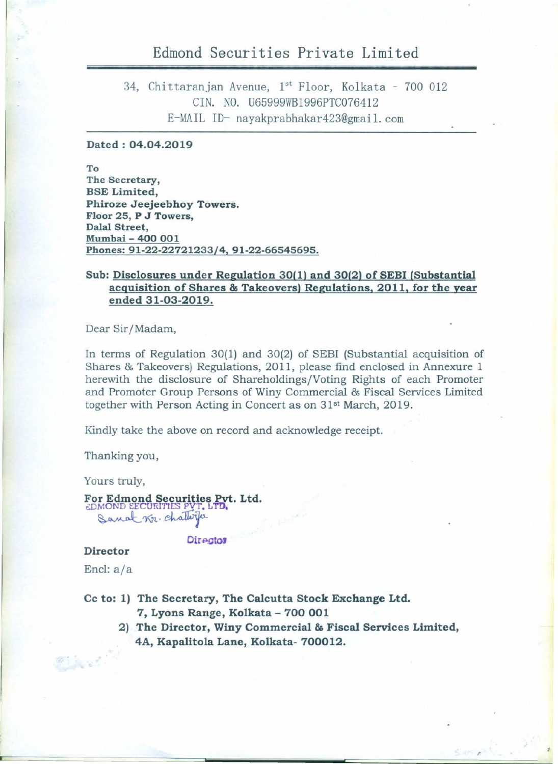# Edmond Securities Private Limited

34, Chittaranjan Avenue, 1st Floor, Kolkata - 700 012 CIN. NO. U65999WB1996PTC076412 E-MAIL ID-nayakprabhakar423@gmail.com

# **Dated: 04.04.2019**

**To The Secretary, BSE Limited, Phiroze Jeejeebhoy Towers. Floor 25, P J Towers,** Dalal Street. **Mumbai- 400 001 Phones: 91-22-22721233/4, 91-22-66545695.**

# **Sub: Disclosures under Regulation 30(1) and 30(2) of SEBI (Substantial acquisition of Shares & Takeovers) Regulations, 2011, for the year ended 31-03-2019.**

Dear Sir/Madam,

In terms of Regulation 30(1) and 30(2) of SEBI (Substantial acquisition of Shares & Takeovers) Regulations, 2011, please find enclosed in Annexure 1 herewith the disclosure of Shareholdings /Voting Rights of each Promoter and Promoter Group Persons of Winy Commercial & Fiscal Services Limited together with Person Acting in Concert as on 31<sup>st</sup> March, 2019.

Kindly take the above on record and acknowledge receipt.

Thanking you,

Yours truly,

**For Edmond Securities bt. Ltd.** t:DMOND SECURITIES PVT. L 1**u.** Sanat Kr. chatterfa

**Director** 

#### **Director**

Encl: a/a

**Cc to: 1) The Secretary, The Calcutta Stock Exchange Ltd.**

**7, Lyons Range, Kolkata - 700 001**

**2) The Director, Winy Commercial & Fiscal Services Limited, 4A, Kapalitola Lane, Kolkata- 700012.**

.>